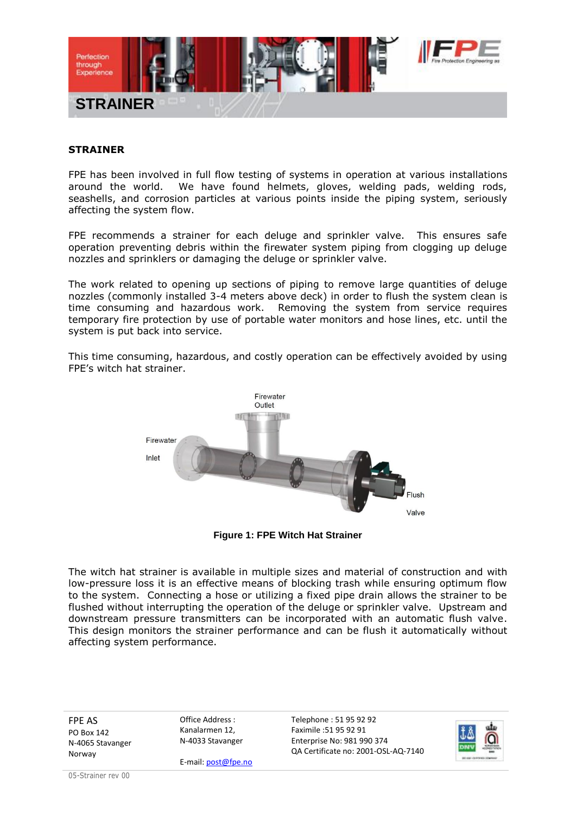

## **STRAINER**

FPE has been involved in full flow testing of systems in operation at various installations around the world. We have found helmets, gloves, welding pads, welding rods, seashells, and corrosion particles at various points inside the piping system, seriously affecting the system flow.

FPE recommends a strainer for each deluge and sprinkler valve. This ensures safe operation preventing debris within the firewater system piping from clogging up deluge nozzles and sprinklers or damaging the deluge or sprinkler valve.

The work related to opening up sections of piping to remove large quantities of deluge nozzles (commonly installed 3-4 meters above deck) in order to flush the system clean is time consuming and hazardous work. Removing the system from service requires temporary fire protection by use of portable water monitors and hose lines, etc. until the system is put back into service.

This time consuming, hazardous, and costly operation can be effectively avoided by using FPE's witch hat strainer.



**Figure 1: FPE Witch Hat Strainer**

The witch hat strainer is available in multiple sizes and material of construction and with low-pressure loss it is an effective means of blocking trash while ensuring optimum flow to the system. Connecting a hose or utilizing a fixed pipe drain allows the strainer to be flushed without interrupting the operation of the deluge or sprinkler valve. Upstream and downstream pressure transmitters can be incorporated with an automatic flush valve. This design monitors the strainer performance and can be flush it automatically without affecting system performance.

FPE AS PO Box 142 N-4065 Stavanger Norway

Office Address : Kanalarmen 12, N-4033 Stavanger

E-mail: post@fpe.no

Telephone : 51 95 92 92 Faximile :51 95 92 91 Enterprise No: 981 990 374 QA Certificate no: 2001-OSL-AQ-7140



05-Strainer rev 00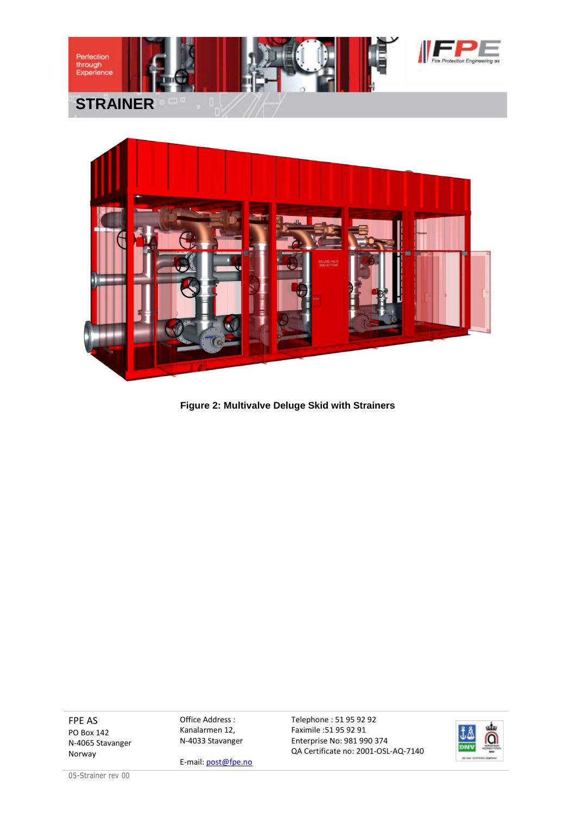



**Figure 2: Multivalve Deluge Skid with Strainers**

FPE AS PO Box 142 N-4065 Stavanger Norway

Office Address : Kanalarmen 12, N-4033 Stavanger

E-mail: post@fpe.no

Telephone : 51 95 92 92 Faximile :51 95 92 91 Enterprise No: 981 990 374 QA Certificate no: 2001-OSL-AQ-7140